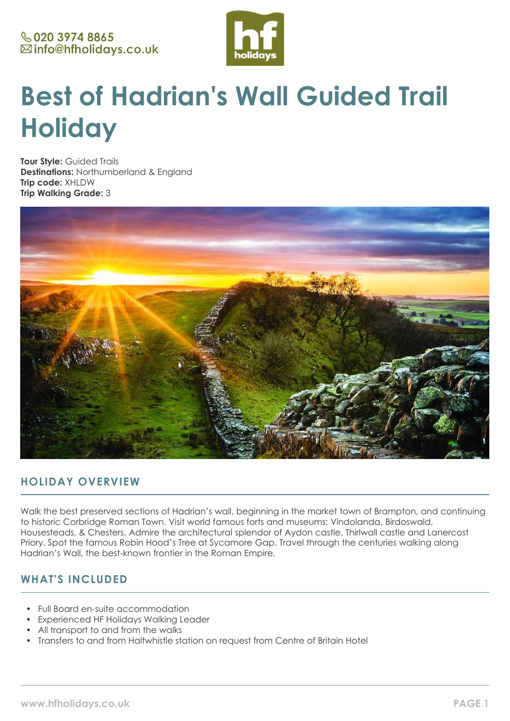

# **Best of Hadrian's Wall Guided Trail Holiday**

**Tour Style:** Guided Trails **Destinations:** Northumberland & England **Trip code:** XHLDW **Trip Walking Grade:** 3



## **HOLIDAY OVERVIEW**

Walk the best preserved sections of Hadrian's wall, beginning in the market town of Brampton, and continuing to historic Corbridge Roman Town. Visit world famous forts and museums: Vindolanda, Birdoswald, Housesteads, & Chesters. Admire the architectural splendor of Aydon castle, Thirlwall castle and Lanercost Priory. Spot the famous Robin Hood's Tree at Sycamore Gap. Travel through the centuries walking along Hadrian's Wall, the best-known frontier in the Roman Empire.

## **WHAT'S INCLUDED**

- Full Board en-suite accommodation
- Experienced HF Holidays Walking Leader
- All transport to and from the walks
- Transfers to and from Haltwhistle station on request from Centre of Britain Hotel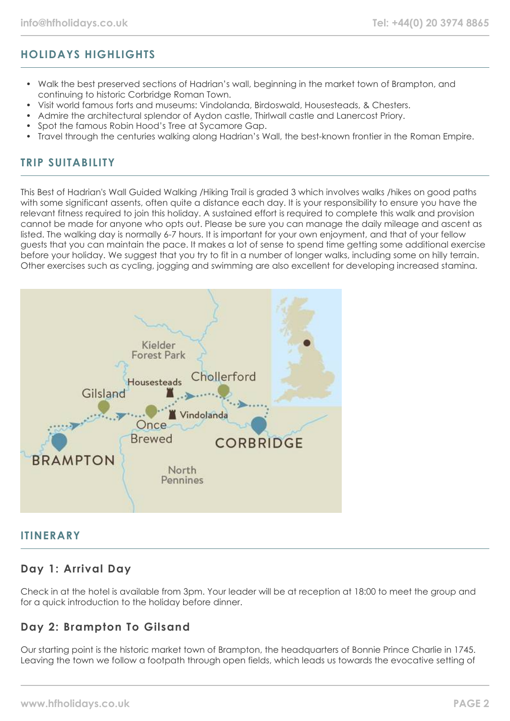## **HOLIDAYS HIGHLIGHTS**

- Walk the best preserved sections of Hadrian's wall, beginning in the market town of Brampton, and continuing to historic Corbridge Roman Town.
- Visit world famous forts and museums: Vindolanda, Birdoswald, Housesteads, & Chesters.
- Admire the architectural splendor of Aydon castle, Thirlwall castle and Lanercost Priory.
- Spot the famous Robin Hood's Tree at Sycamore Gap.
- Travel through the centuries walking along Hadrian's Wall, the best-known frontier in the Roman Empire.

## **TRIP SUITABILITY**

This Best of Hadrian's Wall Guided Walking /Hiking Trail is graded 3 which involves walks /hikes on good paths with some significant assents, often quite a distance each day. It is your responsibility to ensure you have the relevant fitness required to join this holiday. A sustained effort is required to complete this walk and provision cannot be made for anyone who opts out. Please be sure you can manage the daily mileage and ascent as listed. The walking day is normally 6-7 hours. It is important for your own enjoyment, and that of your fellow guests that you can maintain the pace. It makes a lot of sense to spend time getting some additional exercise before your holiday. We suggest that you try to fit in a number of longer walks, including some on hilly terrain. Other exercises such as cycling, jogging and swimming are also excellent for developing increased stamina.



#### **ITINERARY**

## **Day 1: Arrival Day**

Check in at the hotel is available from 3pm. Your leader will be at reception at 18:00 to meet the group and for a quick introduction to the holiday before dinner.

## **Day 2: Brampton To Gilsand**

Our starting point is the historic market town of Brampton, the headquarters of Bonnie Prince Charlie in 1745. Leaving the town we follow a footpath through open fields, which leads us towards the evocative setting of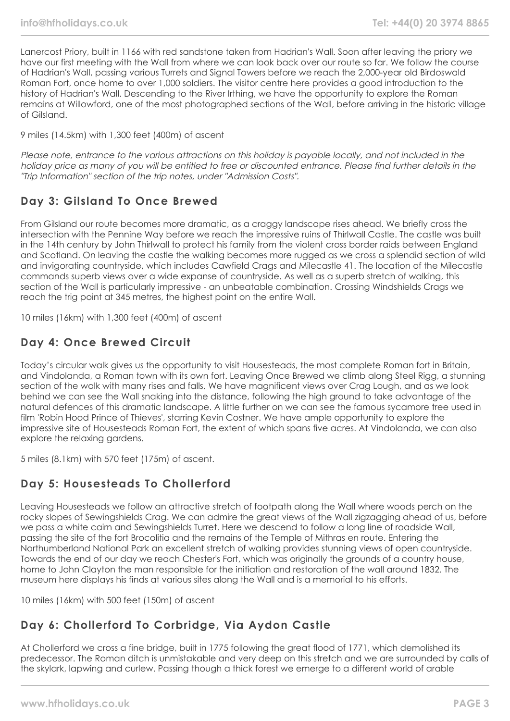Lanercost Priory, built in 1166 with red sandstone taken from Hadrian's Wall. Soon after leaving the priory we have our first meeting with the Wall from where we can look back over our route so far. We follow the course of Hadrian's Wall, passing various Turrets and Signal Towers before we reach the 2,000-year old Birdoswald Roman Fort, once home to over 1,000 soldiers. The visitor centre here provides a good introduction to the history of Hadrian's Wall. Descending to the River Irthing, we have the opportunity to explore the Roman remains at Willowford, one of the most photographed sections of the Wall, before arriving in the historic village of Gilsland.

9 miles (14.5km) with 1,300 feet (400m) of ascent

Please note, entrance to the various attractions on this holiday is payable locally, and not included in the holiday price as many of you will be entitled to free or discounted entrance. Please find further details in the "Trip Information" section of the trip notes, under "Admission Costs".

## **Day 3: Gilsland To Once Brewed**

From Gilsland our route becomes more dramatic, as a craggy landscape rises ahead. We briefly cross the intersection with the Pennine Way before we reach the impressive ruins of Thirlwall Castle. The castle was built in the 14th century by John Thirlwall to protect his family from the violent cross border raids between England and Scotland. On leaving the castle the walking becomes more rugged as we cross a splendid section of wild and invigorating countryside, which includes Cawfield Crags and Milecastle 41. The location of the Milecastle commands superb views over a wide expanse of countryside. As well as a superb stretch of walking, this section of the Wall is particularly impressive - an unbeatable combination. Crossing Windshields Crags we reach the trig point at 345 metres, the highest point on the entire Wall.

10 miles (16km) with 1,300 feet (400m) of ascent

## **Day 4: Once Brewed Circuit**

Today's circular walk gives us the opportunity to visit Housesteads, the most complete Roman fort in Britain, and Vindolanda, a Roman town with its own fort. Leaving Once Brewed we climb along Steel Rigg, a stunning section of the walk with many rises and falls. We have magnificent views over Crag Lough, and as we look behind we can see the Wall snaking into the distance, following the high ground to take advantage of the natural defences of this dramatic landscape. A little further on we can see the famous sycamore tree used in film 'Robin Hood Prince of Thieves', starring Kevin Costner. We have ample opportunity to explore the impressive site of Housesteads Roman Fort, the extent of which spans five acres. At Vindolanda, we can also explore the relaxing gardens.

5 miles (8.1km) with 570 feet (175m) of ascent.

# **Day 5: Housesteads To Chollerford**

Leaving Housesteads we follow an attractive stretch of footpath along the Wall where woods perch on the rocky slopes of Sewingshields Crag. We can admire the great views of the Wall zigzagging ahead of us, before we pass a white cairn and Sewingshields Turret. Here we descend to follow a long line of roadside Wall, passing the site of the fort Brocolitia and the remains of the Temple of Mithras en route. Entering the Northumberland National Park an excellent stretch of walking provides stunning views of open countryside. Towards the end of our day we reach Chester's Fort, which was originally the grounds of a country house, home to John Clayton the man responsible for the initiation and restoration of the wall around 1832. The museum here displays his finds at various sites along the Wall and is a memorial to his efforts.

10 miles (16km) with 500 feet (150m) of ascent

# **Day 6: Chollerford To Corbridge, Via Aydon Castle**

At Chollerford we cross a fine bridge, built in 1775 following the great flood of 1771, which demolished its predecessor. The Roman ditch is unmistakable and very deep on this stretch and we are surrounded by calls of the skylark, lapwing and curlew. Passing though a thick forest we emerge to a different world of arable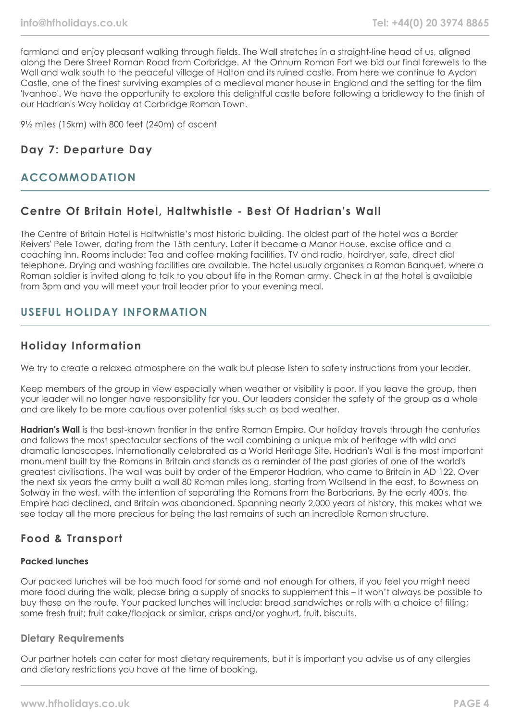farmland and enjoy pleasant walking through fields. The Wall stretches in a straight-line head of us, aligned along the Dere Street Roman Road from Corbridge. At the Onnum Roman Fort we bid our final farewells to the Wall and walk south to the peaceful village of Halton and its ruined castle. From here we continue to Aydon Castle, one of the finest surviving examples of a medieval manor house in England and the setting for the film 'Ivanhoe'. We have the opportunity to explore this delightful castle before following a bridleway to the finish of our Hadrian's Way holiday at Corbridge Roman Town.

9½ miles (15km) with 800 feet (240m) of ascent

## **Day 7: Departure Day**

## **ACCOMMODATION**

### **Centre Of Britain Hotel, Haltwhistle - Best Of Hadrian's Wall**

The Centre of Britain Hotel is Haltwhistle's most historic building. The oldest part of the hotel was a Border Reivers' Pele Tower, dating from the 15th century. Later it became a Manor House, excise office and a coaching inn. Rooms include: Tea and coffee making facilities, TV and radio, hairdryer, safe, direct dial telephone. Drying and washing facilities are available. The hotel usually organises a Roman Banquet, where a Roman soldier is invited along to talk to you about life in the Roman army. Check in at the hotel is available from 3pm and you will meet your trail leader prior to your evening meal.

## **USEFUL HOLIDAY INFORMATION**

### **Holiday Information**

We try to create a relaxed atmosphere on the walk but please listen to safety instructions from your leader.

Keep members of the group in view especially when weather or visibility is poor. If you leave the group, then your leader will no longer have responsibility for you. Our leaders consider the safety of the group as a whole and are likely to be more cautious over potential risks such as bad weather.

**Hadrian's Wall** is the best-known frontier in the entire Roman Empire. Our holiday travels through the centuries and follows the most spectacular sections of the wall combining a unique mix of heritage with wild and dramatic landscapes. Internationally celebrated as a World Heritage Site, Hadrian's Wall is the most important monument built by the Romans in Britain and stands as a reminder of the past glories of one of the world's greatest civilisations. The wall was built by order of the Emperor Hadrian, who came to Britain in AD 122. Over the next six years the army built a wall 80 Roman miles long, starting from Wallsend in the east, to Bowness on Solway in the west, with the intention of separating the Romans from the Barbarians. By the early 400's, the Empire had declined, and Britain was abandoned. Spanning nearly 2,000 years of history, this makes what we see today all the more precious for being the last remains of such an incredible Roman structure.

## **Food & Transport**

#### **Packed lunches**

Our packed lunches will be too much food for some and not enough for others, if you feel you might need more food during the walk, please bring a supply of snacks to supplement this – it won't always be possible to buy these on the route. Your packed lunches will include: bread sandwiches or rolls with a choice of filling; some fresh fruit; fruit cake/flapjack or similar, crisps and/or yoghurt, fruit, biscuits.

#### **Dietary Requirements**

Our partner hotels can cater for most dietary requirements, but it is important you advise us of any allergies and dietary restrictions you have at the time of booking.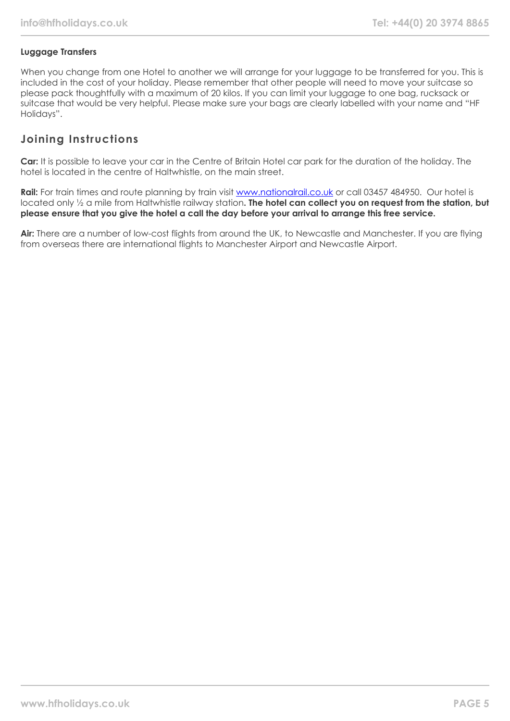#### **Luggage Transfers**

When you change from one Hotel to another we will arrange for your luggage to be transferred for you. This is included in the cost of your holiday. Please remember that other people will need to move your suitcase so please pack thoughtfully with a maximum of 20 kilos. If you can limit your luggage to one bag, rucksack or suitcase that would be very helpful. Please make sure your bags are clearly labelled with your name and "HF Holidays".

## **Joining Instructions**

**Car:** It is possible to leave your car in the Centre of Britain Hotel car park for the duration of the holiday. The hotel is located in the centre of Haltwhistle, on the main street.

Rail: For train times and route planning by train visit [www.nationalrail.co.uk](http://www.nationalrail.co.uk/) or call 03457 484950. Our hotel is located only ½ a mile from Haltwhistle railway station**. The hotel can collect you on request from the station, but please ensure that you give the hotel a call the day before your arrival to arrange this free service.**

**Air:** There are a number of low-cost flights from around the UK, to Newcastle and Manchester. If you are flying from overseas there are international flights to Manchester Airport and Newcastle Airport.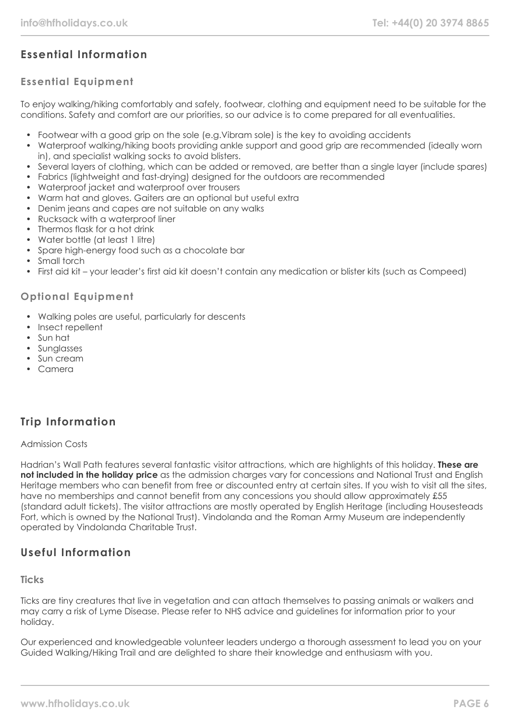# **Essential Information**

### **Essential Equipment**

To enjoy walking/hiking comfortably and safely, footwear, clothing and equipment need to be suitable for the conditions. Safety and comfort are our priorities, so our advice is to come prepared for all eventualities.

- Footwear with a good grip on the sole (e.g.Vibram sole) is the key to avoiding accidents
- Waterproof walking/hiking boots providing ankle support and good grip are recommended (ideally worn in), and specialist walking socks to avoid blisters.
- Several layers of clothing, which can be added or removed, are better than a single layer (include spares)
- Fabrics (lightweight and fast-drying) designed for the outdoors are recommended
- Waterproof jacket and waterproof over trousers
- Warm hat and gloves. Gaiters are an optional but useful extra
- Denim jeans and capes are not suitable on any walks
- Rucksack with a waterproof liner
- Thermos flask for a hot drink
- Water bottle (at least 1 litre)
- Spare high-energy food such as a chocolate bar
- Small torch
- First aid kit your leader's first aid kit doesn't contain any medication or blister kits (such as Compeed)

#### **Optional Equipment**

- Walking poles are useful, particularly for descents
- Insect repellent
- Sun hat
- Sunglasses
- Sun cream
- Camera

## **Trip Information**

#### Admission Costs

Hadrian's Wall Path features several fantastic visitor attractions, which are highlights of this holiday. **These are not included in the holiday price** as the admission charges vary for concessions and National Trust and English Heritage members who can benefit from free or discounted entry at certain sites. If you wish to visit all the sites, have no memberships and cannot benefit from any concessions you should allow approximately £55 (standard adult tickets). The visitor attractions are mostly operated by English Heritage (including Housesteads Fort, which is owned by the National Trust). Vindolanda and the Roman Army Museum are independently operated by Vindolanda Charitable Trust.

## **Useful Information**

#### **Ticks**

Ticks are tiny creatures that live in vegetation and can attach themselves to passing animals or walkers and may carry a risk of Lyme Disease. Please refer to NHS advice and guidelines for information prior to your holiday.

Our experienced and knowledgeable volunteer leaders undergo a thorough assessment to lead you on your Guided Walking/Hiking Trail and are delighted to share their knowledge and enthusiasm with you.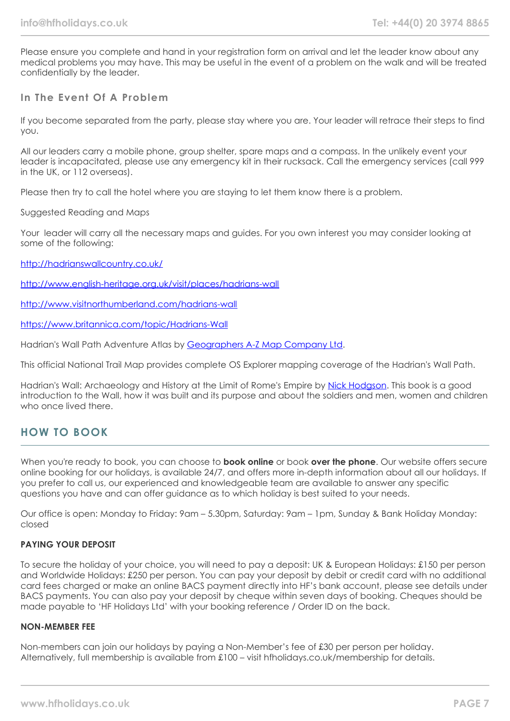Please ensure you complete and hand in your registration form on arrival and let the leader know about any medical problems you may have. This may be useful in the event of a problem on the walk and will be treated confidentially by the leader.

#### **In The Event Of A Problem**

If you become separated from the party, please stay where you are. Your leader will retrace their steps to find you.

All our leaders carry a mobile phone, group shelter, spare maps and a compass. In the unlikely event your leader is incapacitated, please use any emergency kit in their rucksack. Call the emergency services (call 999 in the UK, or 112 overseas).

Please then try to call the hotel where you are staying to let them know there is a problem.

Suggested Reading and Maps

Your leader will carry all the necessary maps and guides. For you own interest you may consider looking at some of the following:

<http://hadrianswallcountry.co.uk/>

<http://www.english-heritage.org.uk/visit/places/hadrians-wall>

<http://www.visitnorthumberland.com/hadrians-wall>

<https://www.britannica.com/topic/Hadrians-Wall>

Hadrian's Wall Path Adventure Atlas by [Geographers A-Z Map Company Ltd](https://www.amazon.co.uk/s/ref=dp_byline_sr_book_1?ie=UTF8&text=Geographers+A-Z+Map+Company+Ltd&search-alias=books-uk&field-author=Geographers+A-Z+Map+Company+Ltd&sort=relevancerank).

This official National Trail Map provides complete OS Explorer mapping coverage of the Hadrian's Wall Path.

Hadrian's Wall: Archaeology and History at the Limit of Rome's Empire by [Nick Hodgson](https://www.amazon.co.uk/s/ref=dp_byline_sr_book_1?ie=UTF8&text=Nick+Hodgson&search-alias=books-uk&field-author=Nick+Hodgson&sort=relevancerank). This book is a good introduction to the Wall, how it was built and its purpose and about the soldiers and men, women and children who once lived there.

#### **HOW TO BOOK**

When you're ready to book, you can choose to **book online** or book **over the phone**. Our website offers secure online booking for our holidays, is available 24/7, and offers more in-depth information about all our holidays. If you prefer to call us, our experienced and knowledgeable team are available to answer any specific questions you have and can offer guidance as to which holiday is best suited to your needs.

Our office is open: Monday to Friday: 9am – 5.30pm, Saturday: 9am – 1pm, Sunday & Bank Holiday Monday: closed

#### **PAYING YOUR DEPOSIT**

To secure the holiday of your choice, you will need to pay a deposit: UK & European Holidays: £150 per person and Worldwide Holidays: £250 per person. You can pay your deposit by debit or credit card with no additional card fees charged or make an online BACS payment directly into HF's bank account, please see details under BACS payments. You can also pay your deposit by cheque within seven days of booking. Cheques should be made payable to 'HF Holidays Ltd' with your booking reference / Order ID on the back.

#### **NON-MEMBER FEE**

Non-members can join our holidays by paying a Non-Member's fee of £30 per person per holiday. Alternatively, full membership is available from £100 – visit hfholidays.co.uk/membership for details.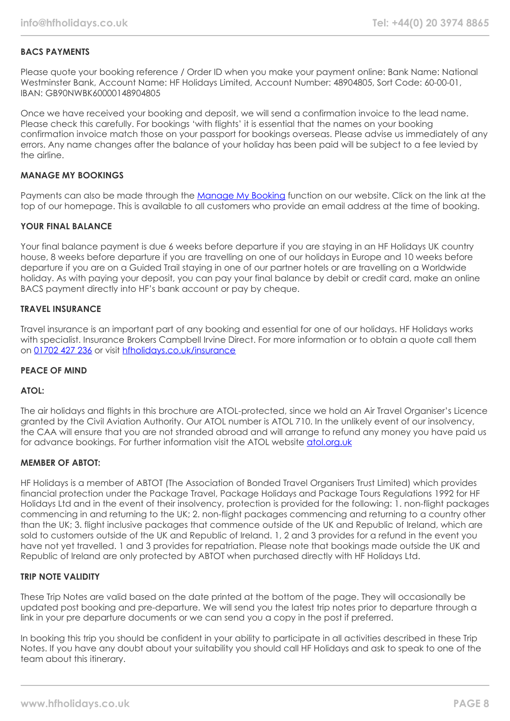#### **BACS PAYMENTS**

Please quote your booking reference / Order ID when you make your payment online: Bank Name: National Westminster Bank, Account Name: HF Holidays Limited, Account Number: 48904805, Sort Code: 60-00-01, IBAN: GB90NWBK60000148904805

Once we have received your booking and deposit, we will send a confirmation invoice to the lead name. Please check this carefully. For bookings 'with flights' it is essential that the names on your booking confirmation invoice match those on your passport for bookings overseas. Please advise us immediately of any errors. Any name changes after the balance of your holiday has been paid will be subject to a fee levied by the airline.

#### **MANAGE MY BOOKINGS**

Payments can also be made through the [Manage My Booking](https://www.hfholidays.co.uk/about-us/bookings/my-booking) function on our website. Click on the link at the top of our homepage. This is available to all customers who provide an email address at the time of booking.

#### **YOUR FINAL BALANCE**

Your final balance payment is due 6 weeks before departure if you are staying in an HF Holidays UK country house, 8 weeks before departure if you are travelling on one of our holidays in Europe and 10 weeks before departure if you are on a Guided Trail staying in one of our partner hotels or are travelling on a Worldwide holiday. As with paying your deposit, you can pay your final balance by debit or credit card, make an online BACS payment directly into HF's bank account or pay by cheque.

#### **TRAVEL INSURANCE**

Travel insurance is an important part of any booking and essential for one of our holidays. HF Holidays works with specialist. Insurance Brokers Campbell Irvine Direct. For more information or to obtain a quote call them on [01702 427 236](tel:01702427236) or visit [hfholidays.co.uk/insurance](https://www.hfholidays.co.uk/about-us/bookings/insurance)

#### **PEACE OF MIND**

#### **ATOL:**

The air holidays and flights in this brochure are ATOL-protected, since we hold an Air Travel Organiser's Licence granted by the Civil Aviation Authority. Our ATOL number is ATOL 710. In the unlikely event of our insolvency, the CAA will ensure that you are not stranded abroad and will arrange to refund any money you have paid us for advance bookings. For further information visit the ATOL website [atol.org.uk](https://www.atol.org/)

#### **MEMBER OF ABTOT:**

HF Holidays is a member of ABTOT (The Association of Bonded Travel Organisers Trust Limited) which provides financial protection under the Package Travel, Package Holidays and Package Tours Regulations 1992 for HF Holidays Ltd and in the event of their insolvency, protection is provided for the following: 1. non-flight packages commencing in and returning to the UK; 2. non-flight packages commencing and returning to a country other than the UK; 3. flight inclusive packages that commence outside of the UK and Republic of Ireland, which are sold to customers outside of the UK and Republic of Ireland. 1, 2 and 3 provides for a refund in the event you have not yet travelled. 1 and 3 provides for repatriation. Please note that bookings made outside the UK and Republic of Ireland are only protected by ABTOT when purchased directly with HF Holidays Ltd.

#### **TRIP NOTE VALIDITY**

These Trip Notes are valid based on the date printed at the bottom of the page. They will occasionally be updated post booking and pre-departure. We will send you the latest trip notes prior to departure through a link in your pre departure documents or we can send you a copy in the post if preferred.

In booking this trip you should be confident in your ability to participate in all activities described in these Trip Notes. If you have any doubt about your suitability you should call HF Holidays and ask to speak to one of the team about this itinerary.